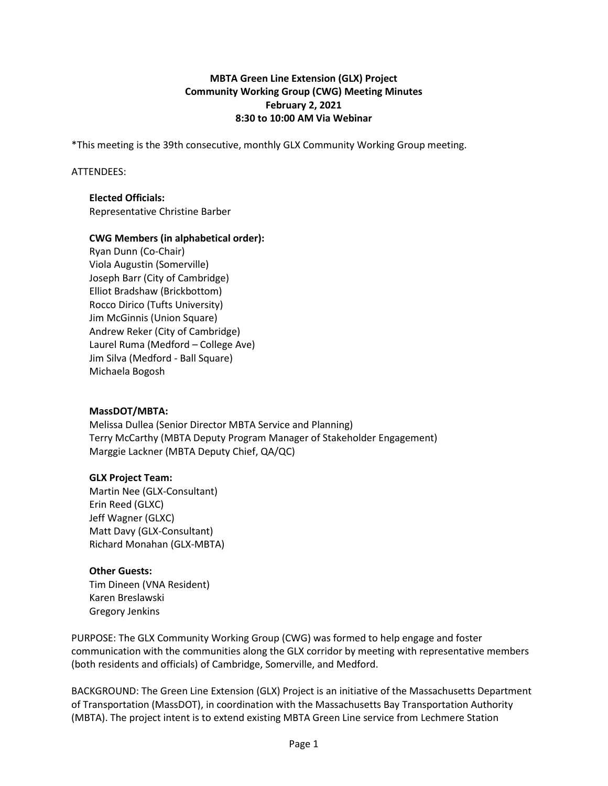### **MBTA Green Line Extension (GLX) Project Community Working Group (CWG) Meeting Minutes February 2, 2021 8:30 to 10:00 AM Via Webinar**

\*This meeting is the 39th consecutive, monthly GLX Community Working Group meeting.

#### ATTENDEES:

# **Elected Officials:**

Representative Christine Barber

### **CWG Members (in alphabetical order):**

Ryan Dunn (Co-Chair) Viola Augustin (Somerville) Joseph Barr (City of Cambridge) Elliot Bradshaw (Brickbottom) Rocco Dirico (Tufts University) Jim McGinnis (Union Square) Andrew Reker (City of Cambridge) Laurel Ruma (Medford – College Ave) Jim Silva (Medford - Ball Square) Michaela Bogosh

### **MassDOT/MBTA:**

Melissa Dullea (Senior Director MBTA Service and Planning) Terry McCarthy (MBTA Deputy Program Manager of Stakeholder Engagement) Marggie Lackner (MBTA Deputy Chief, QA/QC)

### **GLX Project Team:**

Martin Nee (GLX-Consultant) Erin Reed (GLXC) Jeff Wagner (GLXC) Matt Davy (GLX-Consultant) Richard Monahan (GLX-MBTA)

### **Other Guests:**

Tim Dineen (VNA Resident) Karen Breslawski Gregory Jenkins

PURPOSE: The GLX Community Working Group (CWG) was formed to help engage and foster communication with the communities along the GLX corridor by meeting with representative members (both residents and officials) of Cambridge, Somerville, and Medford.

BACKGROUND: The Green Line Extension (GLX) Project is an initiative of the Massachusetts Department of Transportation (MassDOT), in coordination with the Massachusetts Bay Transportation Authority (MBTA). The project intent is to extend existing MBTA Green Line service from Lechmere Station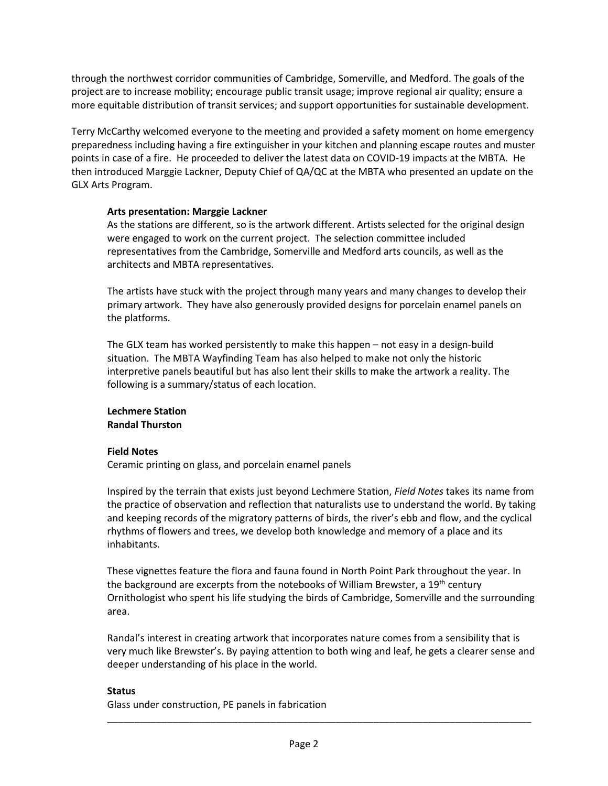through the northwest corridor communities of Cambridge, Somerville, and Medford. The goals of the project are to increase mobility; encourage public transit usage; improve regional air quality; ensure a more equitable distribution of transit services; and support opportunities for sustainable development.

Terry McCarthy welcomed everyone to the meeting and provided a safety moment on home emergency preparedness including having a fire extinguisher in your kitchen and planning escape routes and muster points in case of a fire. He proceeded to deliver the latest data on COVID-19 impacts at the MBTA. He then introduced Marggie Lackner, Deputy Chief of QA/QC at the MBTA who presented an update on the GLX Arts Program.

### **Arts presentation: Marggie Lackner**

As the stations are different, so is the artwork different. Artists selected for the original design were engaged to work on the current project. The selection committee included representatives from the Cambridge, Somerville and Medford arts councils, as well as the architects and MBTA representatives.

The artists have stuck with the project through many years and many changes to develop their primary artwork. They have also generously provided designs for porcelain enamel panels on the platforms.

The GLX team has worked persistently to make this happen – not easy in a design-build situation. The MBTA Wayfinding Team has also helped to make not only the historic interpretive panels beautiful but has also lent their skills to make the artwork a reality. The following is a summary/status of each location.

**Lechmere Station Randal Thurston**

# **Field Notes**

Ceramic printing on glass, and porcelain enamel panels

Inspired by the terrain that exists just beyond Lechmere Station, *Field Notes* takes its name from the practice of observation and reflection that naturalists use to understand the world. By taking and keeping records of the migratory patterns of birds, the river's ebb and flow, and the cyclical rhythms of flowers and trees, we develop both knowledge and memory of a place and its inhabitants.

These vignettes feature the flora and fauna found in North Point Park throughout the year. In the background are excerpts from the notebooks of William Brewster, a  $19<sup>th</sup>$  century Ornithologist who spent his life studying the birds of Cambridge, Somerville and the surrounding area.

Randal's interest in creating artwork that incorporates nature comes from a sensibility that is very much like Brewster's. By paying attention to both wing and leaf, he gets a clearer sense and deeper understanding of his place in the world.

\_\_\_\_\_\_\_\_\_\_\_\_\_\_\_\_\_\_\_\_\_\_\_\_\_\_\_\_\_\_\_\_\_\_\_\_\_\_\_\_\_\_\_\_\_\_\_\_\_\_\_\_\_\_\_\_\_\_\_\_\_\_\_\_\_\_\_\_\_\_\_\_\_\_\_\_\_\_

### **Status**

Glass under construction, PE panels in fabrication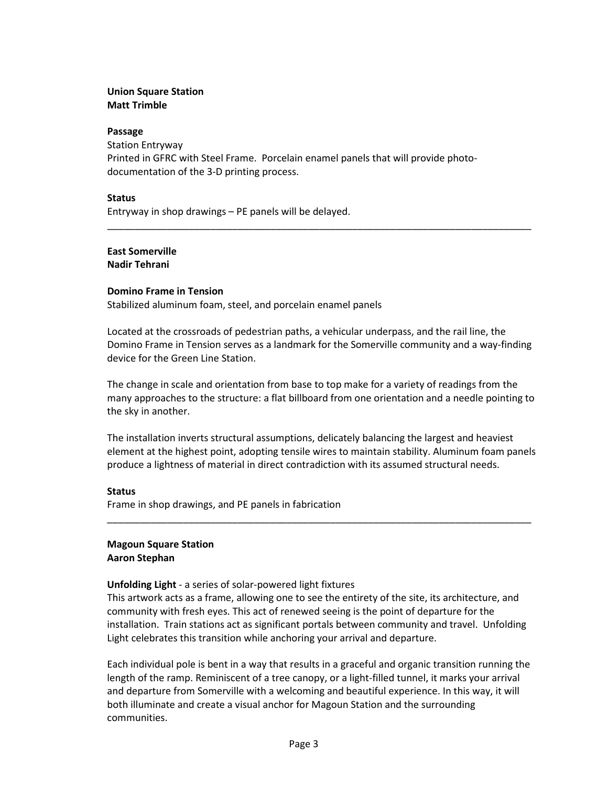### **Union Square Station Matt Trimble**

#### **Passage**

Station Entryway Printed in GFRC with Steel Frame. Porcelain enamel panels that will provide photodocumentation of the 3-D printing process.

#### **Status**

Entryway in shop drawings – PE panels will be delayed.

#### **East Somerville Nadir Tehrani**

#### **Domino Frame in Tension**

Stabilized aluminum foam, steel, and porcelain enamel panels

Located at the crossroads of pedestrian paths, a vehicular underpass, and the rail line, the Domino Frame in Tension serves as a landmark for the Somerville community and a way-finding device for the Green Line Station.

\_\_\_\_\_\_\_\_\_\_\_\_\_\_\_\_\_\_\_\_\_\_\_\_\_\_\_\_\_\_\_\_\_\_\_\_\_\_\_\_\_\_\_\_\_\_\_\_\_\_\_\_\_\_\_\_\_\_\_\_\_\_\_\_\_\_\_\_\_\_\_\_\_\_\_\_\_\_

The change in scale and orientation from base to top make for a variety of readings from the many approaches to the structure: a flat billboard from one orientation and a needle pointing to the sky in another.

The installation inverts structural assumptions, delicately balancing the largest and heaviest element at the highest point, adopting tensile wires to maintain stability. Aluminum foam panels produce a lightness of material in direct contradiction with its assumed structural needs.

\_\_\_\_\_\_\_\_\_\_\_\_\_\_\_\_\_\_\_\_\_\_\_\_\_\_\_\_\_\_\_\_\_\_\_\_\_\_\_\_\_\_\_\_\_\_\_\_\_\_\_\_\_\_\_\_\_\_\_\_\_\_\_\_\_\_\_\_\_\_\_\_\_\_\_\_\_\_

### **Status**

Frame in shop drawings, and PE panels in fabrication

#### **Magoun Square Station Aaron Stephan**

#### **Unfolding Light** - a series of solar-powered light fixtures

This artwork acts as a frame, allowing one to see the entirety of the site, its architecture, and community with fresh eyes. This act of renewed seeing is the point of departure for the installation. Train stations act as significant portals between community and travel. Unfolding Light celebrates this transition while anchoring your arrival and departure.

Each individual pole is bent in a way that results in a graceful and organic transition running the length of the ramp. Reminiscent of a tree canopy, or a light-filled tunnel, it marks your arrival and departure from Somerville with a welcoming and beautiful experience. In this way, it will both illuminate and create a visual anchor for Magoun Station and the surrounding communities.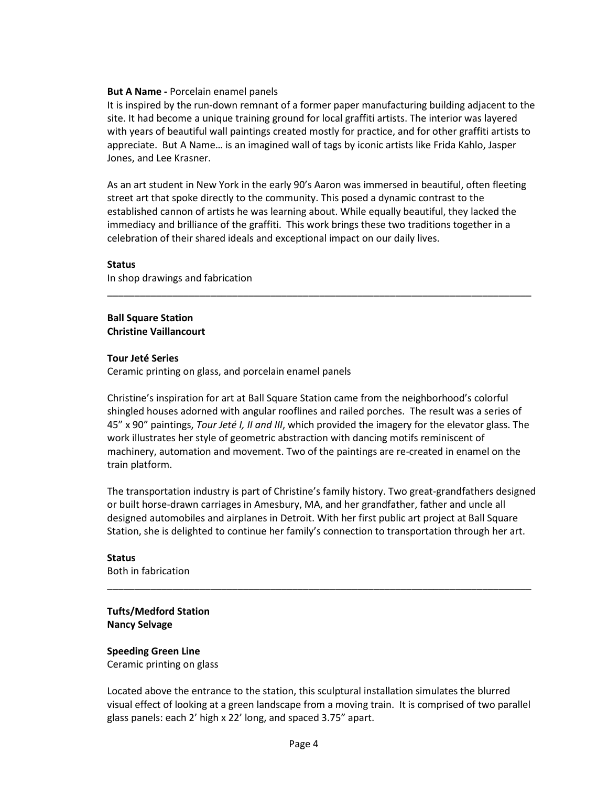#### **But A Name -** Porcelain enamel panels

It is inspired by the run-down remnant of a former paper manufacturing building adjacent to the site. It had become a unique training ground for local graffiti artists. The interior was layered with years of beautiful wall paintings created mostly for practice, and for other graffiti artists to appreciate. But A Name… is an imagined wall of tags by iconic artists like Frida Kahlo, Jasper Jones, and Lee Krasner.

As an art student in New York in the early 90's Aaron was immersed in beautiful, often fleeting street art that spoke directly to the community. This posed a dynamic contrast to the established cannon of artists he was learning about. While equally beautiful, they lacked the immediacy and brilliance of the graffiti. This work brings these two traditions together in a celebration of their shared ideals and exceptional impact on our daily lives.

\_\_\_\_\_\_\_\_\_\_\_\_\_\_\_\_\_\_\_\_\_\_\_\_\_\_\_\_\_\_\_\_\_\_\_\_\_\_\_\_\_\_\_\_\_\_\_\_\_\_\_\_\_\_\_\_\_\_\_\_\_\_\_\_\_\_\_\_\_\_\_\_\_\_\_\_\_\_

#### **Status**

In shop drawings and fabrication

### **Ball Square Station Christine Vaillancourt**

#### **Tour Jeté Series**

Ceramic printing on glass, and porcelain enamel panels

Christine's inspiration for art at Ball Square Station came from the neighborhood's colorful shingled houses adorned with angular rooflines and railed porches. The result was a series of 45" x 90" paintings, *Tour Jeté I, II and III*, which provided the imagery for the elevator glass. The work illustrates her style of geometric abstraction with dancing motifs reminiscent of machinery, automation and movement. Two of the paintings are re-created in enamel on the train platform.

The transportation industry is part of Christine's family history. Two great-grandfathers designed or built horse-drawn carriages in Amesbury, MA, and her grandfather, father and uncle all designed automobiles and airplanes in Detroit. With her first public art project at Ball Square Station, she is delighted to continue her family's connection to transportation through her art.

\_\_\_\_\_\_\_\_\_\_\_\_\_\_\_\_\_\_\_\_\_\_\_\_\_\_\_\_\_\_\_\_\_\_\_\_\_\_\_\_\_\_\_\_\_\_\_\_\_\_\_\_\_\_\_\_\_\_\_\_\_\_\_\_\_\_\_\_\_\_\_\_\_\_\_\_\_\_

**Status** Both in fabrication

# **Tufts/Medford Station Nancy Selvage**

**Speeding Green Line**  Ceramic printing on glass

Located above the entrance to the station, this sculptural installation simulates the blurred visual effect of looking at a green landscape from a moving train. It is comprised of two parallel glass panels: each 2' high x 22' long, and spaced 3.75" apart.